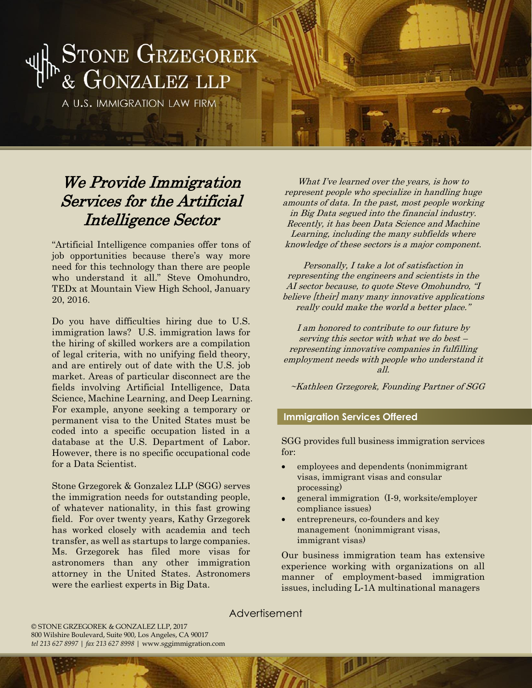# STONE GRZEGOREK<br>& GONZALEZ LLP

A U.S. IMMIGRATION LAW FIRM

### We Provide Immigration Services for the Artificial Intelligence Sector

"Artificial Intelligence companies offer tons of job opportunities because there's way more need for this technology than there are people who understand it all." Steve Omohundro, TEDx at Mountain View High School, January 20, 2016.

Do you have difficulties hiring due to U.S. immigration laws? U.S. immigration laws for the hiring of skilled workers are a compilation of legal criteria, with no unifying field theory, and are entirely out of date with the U.S. job market. Areas of particular disconnect are the fields involving Artificial Intelligence, Data Science, Machine Learning, and Deep Learning. For example, anyone seeking a temporary or permanent visa to the United States must be coded into a specific occupation listed in a database at the U.S. Department of Labor. However, there is no specific occupational code for a Data Scientist.

Stone Grzegorek & Gonzalez LLP (SGG) serves the immigration needs for outstanding people, of whatever nationality, in this fast growing field. For over twenty years, Kathy Grzegorek has worked closely with academia and tech transfer, as well as startups to large companies. Ms. Grzegorek has filed more visas for astronomers than any other immigration attorney in the United States. Astronomers were the earliest experts in Big Data.

What I've learned over the years, is how to represent people who specialize in handling huge amounts of data. In the past, most people working in Big Data segued into the financial industry. Recently, it has been Data Science and Machine Learning, including the many subfields where knowledge of these sectors is a major component.

Personally, I take a lot of satisfaction in representing the engineers and scientists in the AI sector because, to quote Steve Omohundro, "I believe [their] many many innovative applications really could make the world a better place."

I am honored to contribute to our future by serving this sector with what we do best – representing innovative companies in fulfilling employment needs with people who understand it all.

~Kathleen Grzegorek, Founding Partner of SGG

#### **Immigration Services Offered**

SGG provides full business immigration services for:

- employees and dependents (nonimmigrant visas, immigrant visas and consular processing)
- general immigration (I-9, worksite/employer compliance issues)
- entrepreneurs, co-founders and key management (nonimmigrant visas, immigrant visas)

Our business immigration team has extensive experience working with organizations on all manner of employment-based immigration issues, including L-1A multinational managers

Advertisement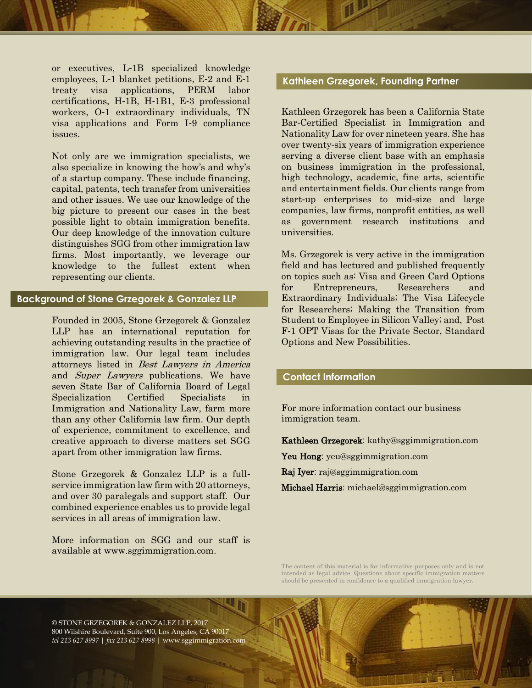or executives, L-1B specialized knowledge employees, L-1 blanket petitions, E-2 and E-1 treaty visa applications, PERM labor certifications, H-1B, H-1B1, E-3 professional workers, O-1 extraordinary individuals, TN visa applications and Form I-9 compliance issues.

Not only are we immigration specialists, we also specialize in knowing the how's and why's of a startup company. These include financing, capital, patents, tech transfer from universities and other issues. We use our knowledge of the big picture to present our cases in the best possible light to obtain immigration benefits. Our deep knowledge of the innovation culture distinguishes SGG from other immigration law firms. Most importantly, we leverage our knowledge to the fullest extent when representing our clients.

#### **Background of Stone Grzegorek & Gonzalez LLP**

Founded in 2005, Stone Grzegorek & Gonzalez LLP has an international reputation for achieving outstanding results in the practice of immigration law. Our legal team includes attorneys listed in Best Lawyers in America and Super Lawyers publications. We have seven State Bar of California Board of Legal Specialization Certified Specialists in Immigration and Nationality Law, farm more than any other California law firm. Our depth of experience, commitment to excellence, and creative approach to diverse matters set SGG apart from other immigration law firms.

Stone Grzegorek & Gonzalez LLP is a fullservice immigration law firm with 20 attorneys, and over 30 paralegals and support staff. Our combined experience enables us to provide legal services in all areas of immigration law.

More information on SGG and our staff is available at www.sggimmigration.com.

#### **Kathleen Grzegorek, Founding Partner**

Kathleen Grzegorek has been a California State Bar-Certified Specialist in Immigration and Nationality Law for over nineteen years. She has over twenty-six years of immigration experience serving a diverse client base with an emphasis on business immigration in the professional, high technology, academic, fine arts, scientific and entertainment fields. Our clients range from start-up enterprises to mid-size and large companies, law firms, nonprofit entities, as well as government research institutions and universities.

Ms. Grzegorek is very active in the immigration field and has lectured and published frequently on topics such as: Visa and Green Card Options for Entrepreneurs, Researchers and Extraordinary Individuals; The Visa Lifecycle for Researchers; Making the Transition from Student to Employee in Silicon Valley; and, Post F-1 OPT Visas for the Private Sector, Standard Options and New Possibilities.

#### **Contact Information**

For more information contact our business immigration team.

Kathleen Grzegorek: kathy@sggimmigration.com

Yeu Hong: yeu@sggimmigration.com

Raj Iyer: raj@sggimmigration.com

Michael Harris: michael@sggimmigration.com

The content of this material is for informative purposes only and is not intended as legal advice. Questions about specific immigration matters should be presented in confidence to a qualified immigration lawyer.

© STONE GRZEGOREK & GONZALEZ LLP, 2017 800 Wilshire Boulevard, Suite 900, Los Angeles, CA 90017 *tel 213 627 8997 | fax 213 627 8998 |* www.sggimmigration.com